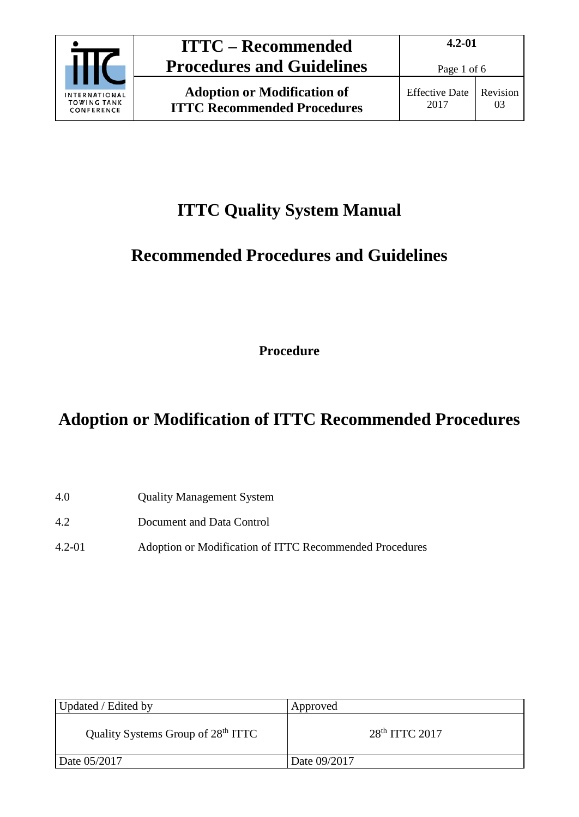

# **ITTC Quality System Manual**

# **Recommended Procedures and Guidelines**

**Procedure**

# **Adoption or Modification of ITTC Recommended Procedures**

- 4.0 Quality Management System
- 4.2 Document and Data Control
- 4.2-01 Adoption or Modification of ITTC Recommended Procedures

| Updated / Edited by                            | Approved                   |
|------------------------------------------------|----------------------------|
| Quality Systems Group of 28 <sup>th</sup> ITTC | 28 <sup>th</sup> ITTC 2017 |
| Date 05/2017                                   | Date 09/2017               |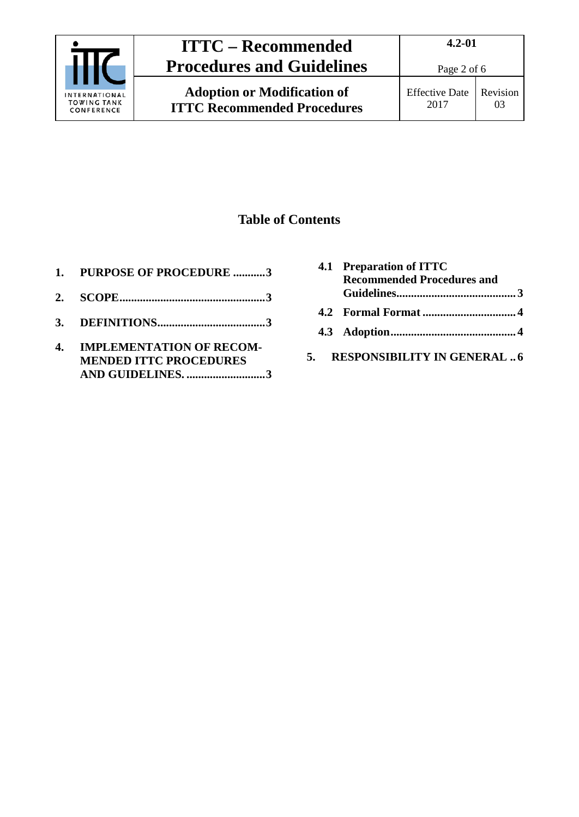

**Adoption or Modification of ITTC Recommended Procedures** Page 2 of 6

### **Table of Contents**

- **1. [PURPOSE OF PROCEDURE](#page-2-0) ...........3**
- **2. [SCOPE..................................................3](#page-2-1)**
- **3. [DEFINITIONS.....................................3](#page-2-2)**
- **4. [IMPLEMENTATION OF RECOM-](#page-2-3)[MENDED ITTC PROCEDURES](#page-2-3)  [AND GUIDELINES.](#page-2-3) ...........................3**

| 4.1 Preparation of ITTC<br><b>Recommended Procedures and</b> |  |
|--------------------------------------------------------------|--|
|                                                              |  |
|                                                              |  |
|                                                              |  |
| <b>RESPONSIBILITY IN GENERAL  6</b>                          |  |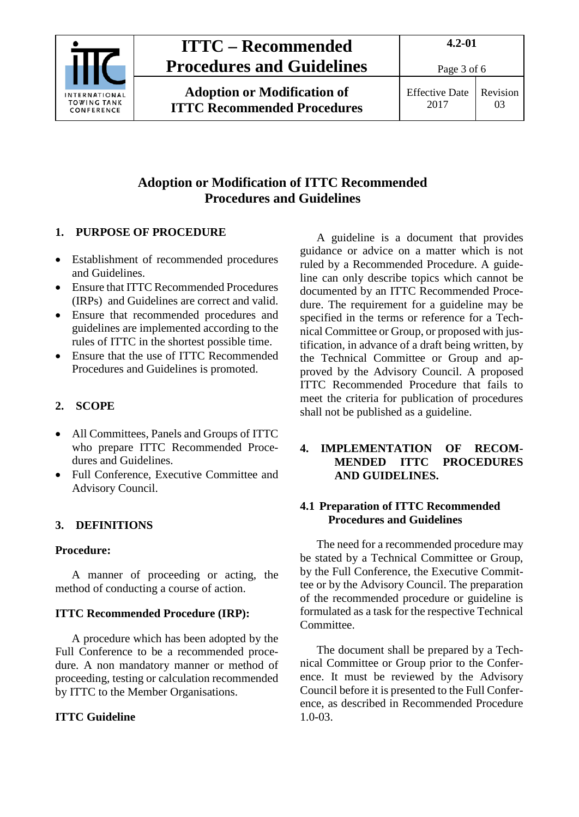

**Adoption or Modification of ITTC Recommended Procedures**

Revision 03

### **Adoption or Modification of ITTC Recommended Procedures and Guidelines**

#### <span id="page-2-0"></span>**1. PURPOSE OF PROCEDURE**

- Establishment of recommended procedures and Guidelines.
- Ensure that ITTC Recommended Procedures (IRPs) and Guidelines are correct and valid.
- Ensure that recommended procedures and guidelines are implemented according to the rules of ITTC in the shortest possible time.
- Ensure that the use of ITTC Recommended Procedures and Guidelines is promoted.

#### <span id="page-2-1"></span>**2. SCOPE**

- All Committees, Panels and Groups of ITTC who prepare ITTC Recommended Procedures and Guidelines.
- Full Conference, Executive Committee and Advisory Council.

#### <span id="page-2-2"></span>**3. DEFINITIONS**

#### **Procedure:**

A manner of proceeding or acting, the method of conducting a course of action.

#### **ITTC Recommended Procedure (IRP):**

A procedure which has been adopted by the Full Conference to be a recommended procedure. A non mandatory manner or method of proceeding, testing or calculation recommended by ITTC to the Member Organisations.

#### **ITTC Guideline**

A guideline is a document that provides guidance or advice on a matter which is not ruled by a Recommended Procedure. A guideline can only describe topics which cannot be documented by an ITTC Recommended Procedure. The requirement for a guideline may be specified in the terms or reference for a Technical Committee or Group, or proposed with justification, in advance of a draft being written, by the Technical Committee or Group and approved by the Advisory Council. A proposed ITTC Recommended Procedure that fails to meet the criteria for publication of procedures shall not be published as a guideline.

#### <span id="page-2-3"></span>**4. IMPLEMENTATION OF RECOM-MENDED ITTC PROCEDURES AND GUIDELINES.**

#### <span id="page-2-4"></span>**4.1 Preparation of ITTC Recommended Procedures and Guidelines**

The need for a recommended procedure may be stated by a Technical Committee or Group, by the Full Conference, the Executive Committee or by the Advisory Council. The preparation of the recommended procedure or guideline is formulated as a task for the respective Technical Committee.

The document shall be prepared by a Technical Committee or Group prior to the Conference. It must be reviewed by the Advisory Council before it is presented to the Full Conference, as described in Recommended Procedure 1.0-03.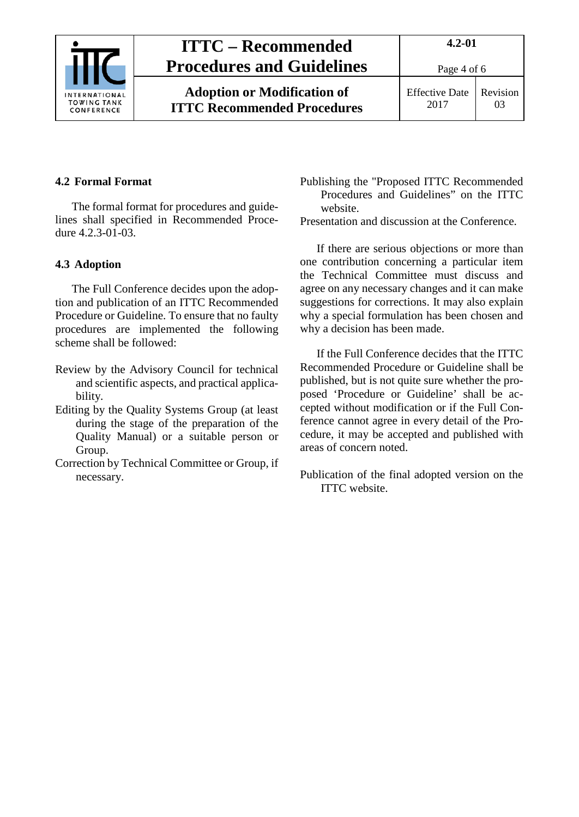

Page 4 of 6

Effective Date 2017

### Revision 03

### <span id="page-3-0"></span>**4.2 Formal Format**

The formal format for procedures and guidelines shall specified in Recommended Procedure 4.2.3-01-03.

#### <span id="page-3-1"></span>**4.3 Adoption**

The Full Conference decides upon the adoption and publication of an ITTC Recommended Procedure or Guideline. To ensure that no faulty procedures are implemented the following scheme shall be followed:

- Review by the Advisory Council for technical and scientific aspects, and practical applicability.
- Editing by the Quality Systems Group (at least during the stage of the preparation of the Quality Manual) or a suitable person or Group.
- Correction by Technical Committee or Group, if necessary.

Publishing the "Proposed ITTC Recommended Procedures and Guidelines" on the ITTC website.

Presentation and discussion at the Conference.

If there are serious objections or more than one contribution concerning a particular item the Technical Committee must discuss and agree on any necessary changes and it can make suggestions for corrections. It may also explain why a special formulation has been chosen and why a decision has been made.

If the Full Conference decides that the ITTC Recommended Procedure or Guideline shall be published, but is not quite sure whether the proposed 'Procedure or Guideline' shall be accepted without modification or if the Full Conference cannot agree in every detail of the Procedure, it may be accepted and published with areas of concern noted.

Publication of the final adopted version on the ITTC website.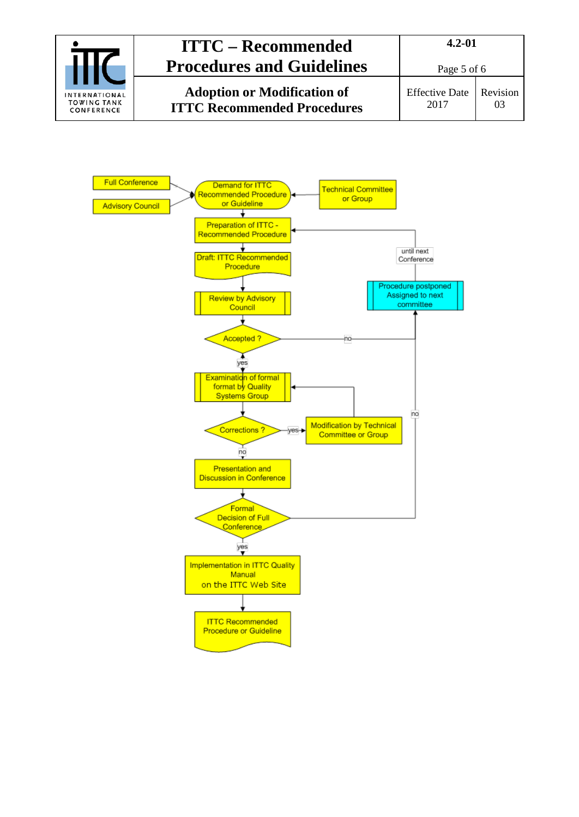